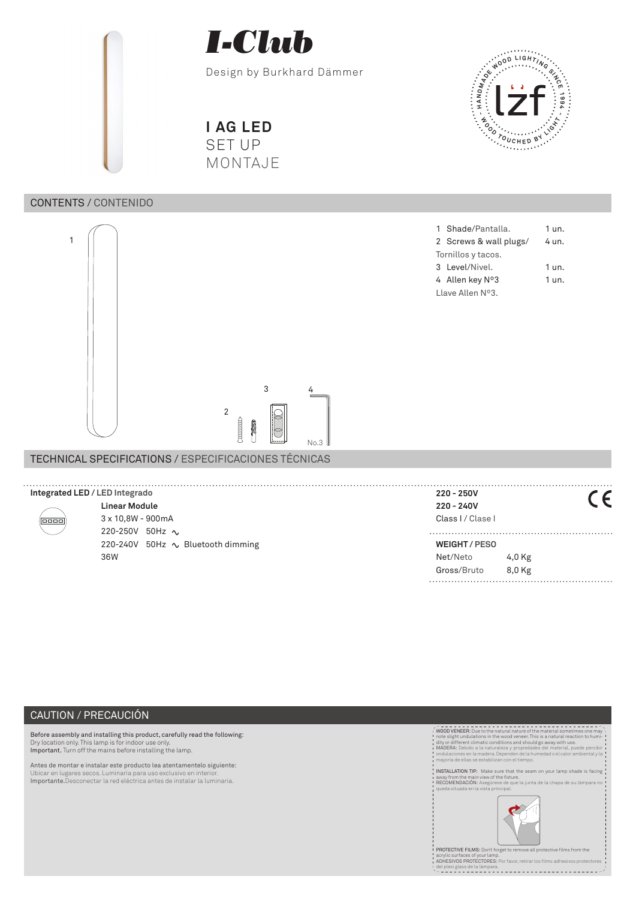

Design by Burkhard Dämmer

**I AG LED** SET UP MONTAJE

# CONTENTS / CONTENIDO



TECHNICAL SPECIFICATIONS / ESPECIFICACIONES TÉCNICAS

# **- <sup>W</sup> <sup>O</sup> <sup>O</sup> <sup>D</sup> <sup>T</sup> <sup>O</sup> <sup>U</sup> <sup>C</sup> <sup>H</sup> <sup>E</sup> <sup>D</sup> <sup>B</sup> <sup>Y</sup> <sup>L</sup> <sup>I</sup> <sup>G</sup> <sup>H</sup> <sup>T</sup> - ANDRO DELIGHTANCE**

|                            | 1 Shade/Pantalla.      | 1 un. |  |  |
|----------------------------|------------------------|-------|--|--|
|                            | 2 Screws & wall plugs/ | 4 un. |  |  |
| Tornillos y tacos.         |                        |       |  |  |
|                            | 3 Level/Nivel.         | 1 un. |  |  |
|                            | 4 Allen key N°3        | 1 un. |  |  |
| Llave Allen $N^{\circ}3$ . |                        |       |  |  |

| Integrated LED / LED Integrado |                                   | $220 - 250V$       |          |  |
|--------------------------------|-----------------------------------|--------------------|----------|--|
|                                | <b>Linear Module</b>              | $220 - 240V$       |          |  |
| 0000                           | $3 \times 10,8W - 900mA$          | Class I / Clase I  |          |  |
|                                | 220-250V 50Hz $\sim$              |                    |          |  |
|                                | 220-240V 50Hz ∿ Bluetooth dimming | <b>WEIGHT/PESO</b> |          |  |
|                                | 36W                               | Net/Neto           | 4,0 Kg   |  |
|                                |                                   | Gross/Bruto        | $8.0$ Kg |  |
|                                |                                   |                    |          |  |

# CAUTION / PRECAUCIÓN

Before assembly and installing this product, carefully read the following:<br>Dry location only. This lamp is for indoor use only.<br>Important. Turn off the mains before installing the lamp.

Antes de montar e instalar este producto lea atentamentelo siguiente: Ubicar en lugares secos. Luminaria para uso exclusivo en interior. Importante.Desconectar la red eléctrica antes de instalar la luminaria.



PROTECTIVE FILMS: Don't forget to remove all prote acrylic surfaces of your lamp. ADHESIVOS PROTECTORES: Por favor, retirar los films adhesivos protectores del plexi glass de la lámpara.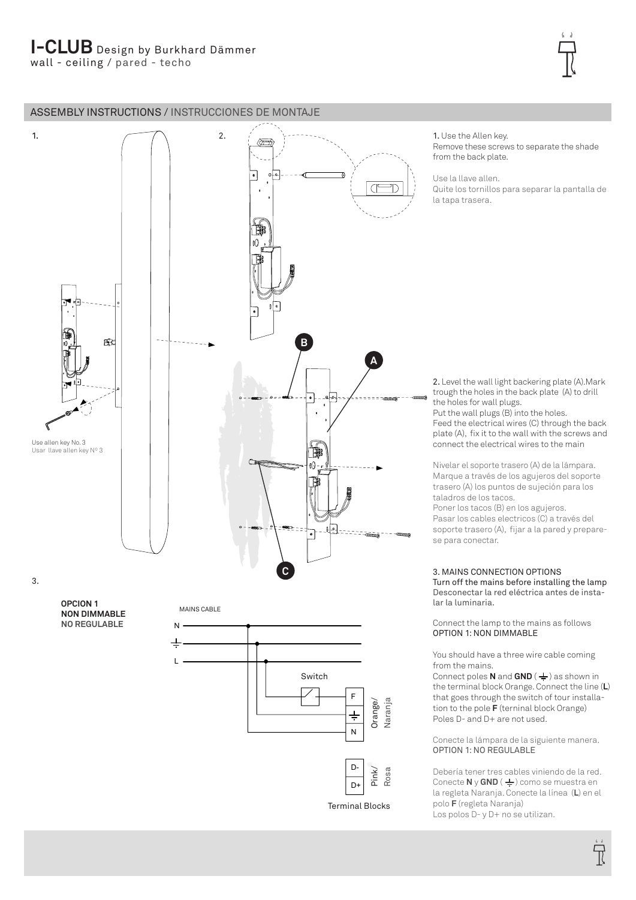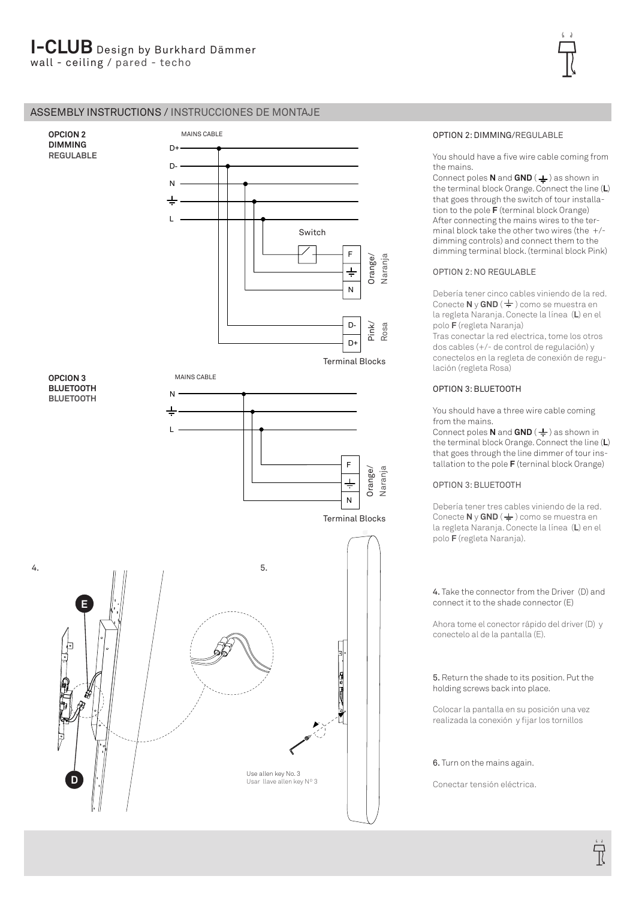# ASSEMBLY INSTRUCTIONS / INSTRUCCIONES DE MONTAJE



# OPTION 2: DIMMING/REGULABLE

You should have a five wire cable coming from the mains.

**Connect poles <b>N** and **GND** ( $\neq$ ) as shown in the terminal block Orange. Connect the line (**L**) that goes through the switch of tour installation to the pole **F** (terminal block Orange) After connecting the mains wires to the terminal block take the other two wires (the +/ dimming controls) and connect them to the dimming terminal block. (terminal block Pink)

# OPTION 2: NO REGULABLE

Debería tener cinco cables viniendo de la red. **Conecte N v GND** ( $\frac{1}{2}$ ) como se muestra en la regleta Naranja. Conecte la línea (**L**) en el polo **F** (regleta Naranja)

Tras conectar la red electrica, tome los otros dos cables (+/- de control de regulación) y conectelos en la regleta de conexión de regulación (regleta Rosa)

## OPTION 3: BLUETOOTH

You should have a three wire cable coming from the mains.

Connect poles **N** and **GND** ( $\frac{1}{2}$ ) as shown in the terminal block Orange. Connect the line (**L**) that goes through the line dimmer of tour installation to the pole **F** (terninal block Orange)

# OPTION 3: BLUETOOTH

Debería tener tres cables viniendo de la red. Conecte **N** y **GND** ( $\frac{1}{2}$ ) como se muestra en la regleta Naranja. Conecte la línea (**L**) en el polo **F** (regleta Naranja).

## 4. Take the connector from the Driver (D) and connect it to the shade connector (E)

Ahora tome el conector rápido del driver (D) y conectelo al de la pantalla (E).

### 5. Return the shade to its position. Put the holding screws back into place.

Colocar la pantalla en su posición una vez realizada la conexión y fijar los tornillos

# 6. Turn on the mains again.

Conectar tensión eléctrica.